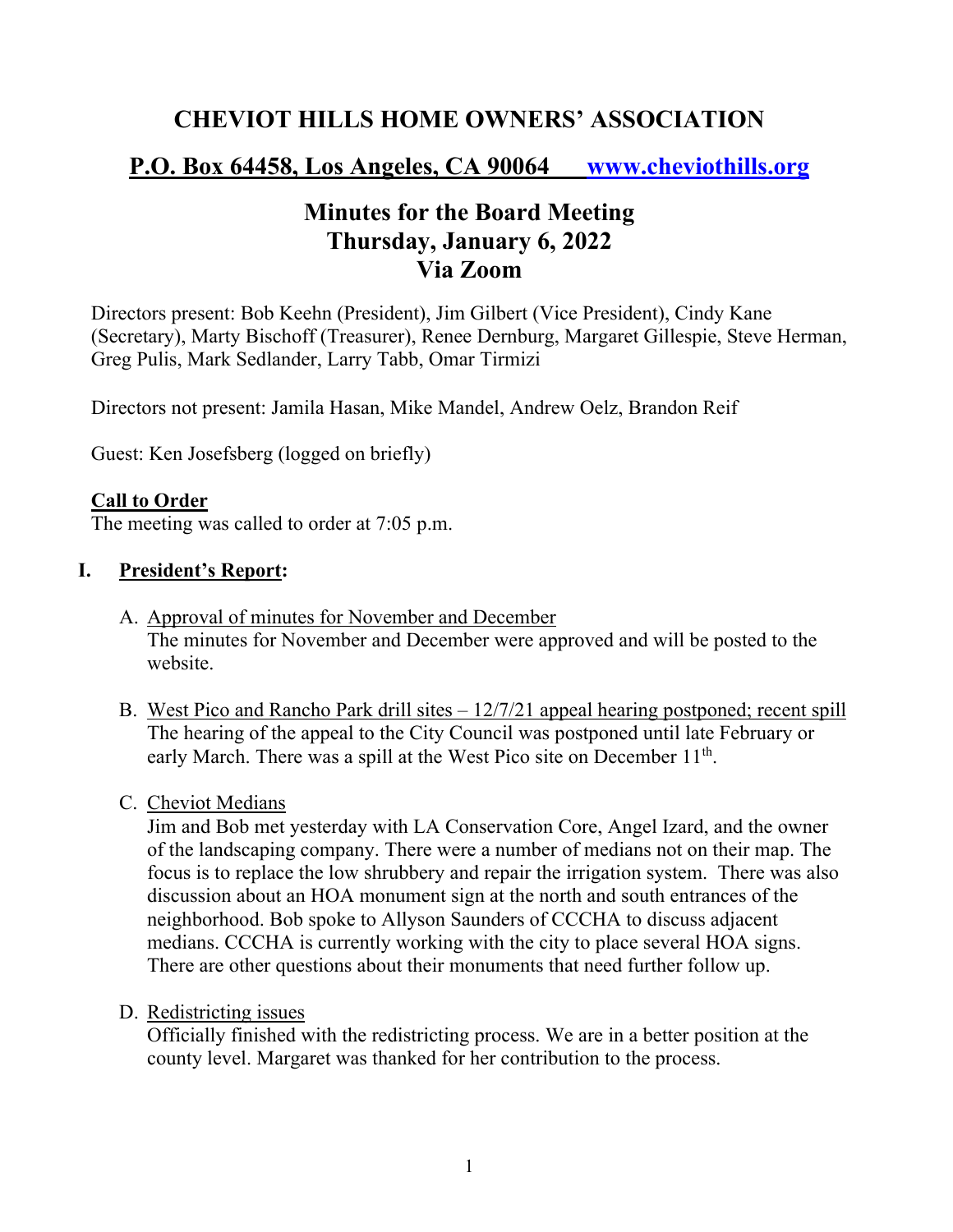# **CHEVIOT HILLS HOME OWNERS' ASSOCIATION**

# **P.O. Box 64458, Los Angeles, CA 90064 www.cheviothills.org**

# **Minutes for the Board Meeting Thursday, January 6, 2022 Via Zoom**

Directors present: Bob Keehn (President), Jim Gilbert (Vice President), Cindy Kane (Secretary), Marty Bischoff (Treasurer), Renee Dernburg, Margaret Gillespie, Steve Herman, Greg Pulis, Mark Sedlander, Larry Tabb, Omar Tirmizi

Directors not present: Jamila Hasan, Mike Mandel, Andrew Oelz, Brandon Reif

Guest: Ken Josefsberg (logged on briefly)

### **Call to Order**

The meeting was called to order at 7:05 p.m.

### **I. President's Report:**

- A. Approval of minutes for November and December The minutes for November and December were approved and will be posted to the website.
- B. West Pico and Rancho Park drill sites 12/7/21 appeal hearing postponed; recent spill The hearing of the appeal to the City Council was postponed until late February or early March. There was a spill at the West Pico site on December 11<sup>th</sup>.
- C. Cheviot Medians

Jim and Bob met yesterday with LA Conservation Core, Angel Izard, and the owner of the landscaping company. There were a number of medians not on their map. The focus is to replace the low shrubbery and repair the irrigation system. There was also discussion about an HOA monument sign at the north and south entrances of the neighborhood. Bob spoke to Allyson Saunders of CCCHA to discuss adjacent medians. CCCHA is currently working with the city to place several HOA signs. There are other questions about their monuments that need further follow up.

#### D. Redistricting issues

Officially finished with the redistricting process. We are in a better position at the county level. Margaret was thanked for her contribution to the process.